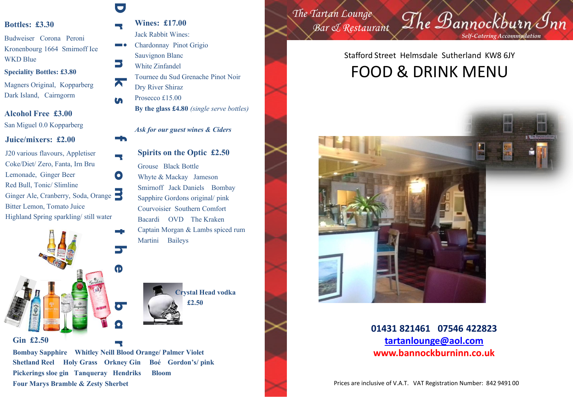#### **Bottles: £3.30**

Budweiser Corona Peroni Kronenbourg 1664 Smirnoff Ice WKD Blue

#### **Speciality Bottles: £3.80**

Magners Original, Kopparberg Dark Island, Cairngorm

#### **Alcohol Free £3.00**

San Miguel 0.0 Kopparberg

#### **Juice/mixers: £2.00**

**r o** Ginger Ale, Cranberry, Soda, Orange J20 various flavours, Appletiser Coke/Diet/ Zero, Fanta, Irn Bru Lemonade, Ginger Beer Red Bull, Tonic/ Slimline Bitter Lemon, Tomato Juice Highland Spring sparkling/ still water



#### **Gin £2.50**

**Bombay Sapphire Whitley Neill Blood Orange/ Palmer Violet Shetland Reel Holy Grass Orkney Gin Boé Gordon's/ pink Pickerings sloe gin Tanqueray Hendriks Bloom Four Marys Bramble & Zesty Sherbet**

**r**

### **D**

**s**

**f**

**r Wines: £17.00** Jack Rabbit Wines:

- **i n** Chardonnay Pinot Grigio Sauvignon Blanc
	- White Zinfandel
- **k** Tournee du Sud Grenache Pinot Noir Dry River Shiraz
	- Prosecco £15.00 **By the glass £4.80** *(single serve bottles)*

*Ask for our guest wines & Ciders*

### **Spirits on the Optic £2.50** Grouse Black Bottle Whyte & Mackay Jameson Smirnoff Jack Daniels Bombay Sapphire Gordons original/ pink Courvoisier Southern Comfort Bacardi OVD The Kraken Captain Morgan & Lambs spiced rum

Martini Baileys

**Crystal Head vodka £2.50**

*The Tartan Lounge Bar & Restaurant*

*Self-Catering Accommodation*

The Bannockburn Inn

### Stafford Street Helmsdale Sutherland KW8 6JY FOOD & DRINK MENU



**01431 821461 07546 422823 [tartanlounge@aol.com](mailto:tartanlounge@aol.com) www.bannockburninn.co.uk**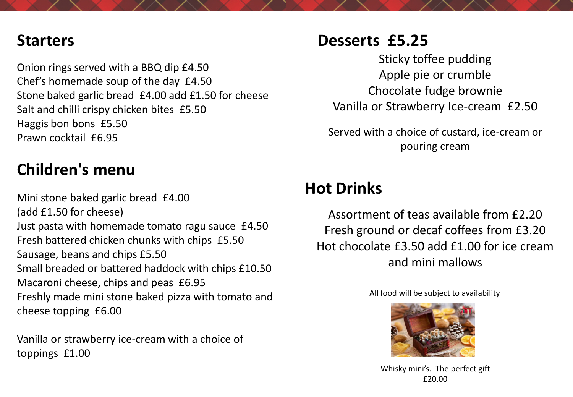## **Starters**

Onion rings served with a BBQ dip £4.50 Chef's homemade soup of the day £4.50 Stone baked garlic bread £4.00 add £1.50 for cheese Salt and chilli crispy chicken bites £5.50 Haggis bon bons £5.50 Prawn cocktail £6.95

# **Children's menu**

Mini stone baked garlic bread £4.00 (add £1.50 for cheese) Just pasta with homemade tomato ragu sauce £4.50 Fresh battered chicken chunks with chips £5.50 Sausage, beans and chips £5.50 Small breaded or battered haddock with chips £10.50 Macaroni cheese, chips and peas £6.95 Freshly made mini stone baked pizza with tomato and cheese topping £6.00

Vanilla or strawberry ice-cream with a choice of toppings £1.00

# **Desserts £5.25**

Sticky toffee pudding Apple pie or crumble Chocolate fudge brownie Vanilla or Strawberry Ice-cream £2.50

Served with a choice of custard, ice-cream or pouring cream

# **Hot Drinks**

Assortment of teas available from £2.20 Fresh ground or decaf coffees from £3.20 Hot chocolate £3.50 add £1.00 for ice cream and mini mallows

All food will be subject to availability



Whisky mini's. The perfect gift £20.00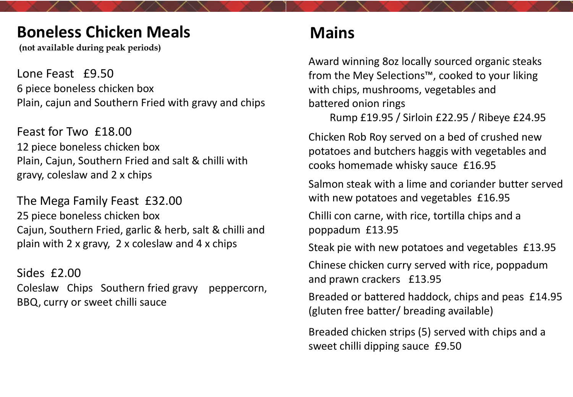## **Boneless Chicken Meals Mains**

**(not available during peak periods)**

Lone Feast £9.50 6 piece boneless chicken box Plain, cajun and Southern Fried with gravy and chips

Feast for Two £18.00 12 piece boneless chicken box Plain, Cajun, Southern Fried and salt & chilli with gravy, coleslaw and 2 x chips

The Mega Family Feast £32.00 25 piece boneless chicken box Cajun, Southern Fried, garlic & herb, salt & chilli and plain with 2 x gravy, 2 x coleslaw and 4 x chips

Sides £2.00 Coleslaw Chips Southern fried gravy peppercorn, BBQ, curry or sweet chilli sauce

Award winning 8oz locally sourced organic steaks from the Mey Selections™, cooked to your liking with chips, mushrooms, vegetables and battered onion rings

Rump £19.95 / Sirloin £22.95 / Ribeye £24.95

Chicken Rob Roy served on a bed of crushed new potatoes and butchers haggis with vegetables and cooks homemade whisky sauce £16.95

Salmon steak with a lime and coriander butter served with new potatoes and vegetables £16.95

Chilli con carne, with rice, tortilla chips and a poppadum £13.95

Steak pie with new potatoes and vegetables £13.95

Chinese chicken curry served with rice, poppadum and prawn crackers £13.95

Breaded or battered haddock, chips and peas £14.95 (gluten free batter/ breading available)

Breaded chicken strips (5) served with chips and a sweet chilli dipping sauce £9.50